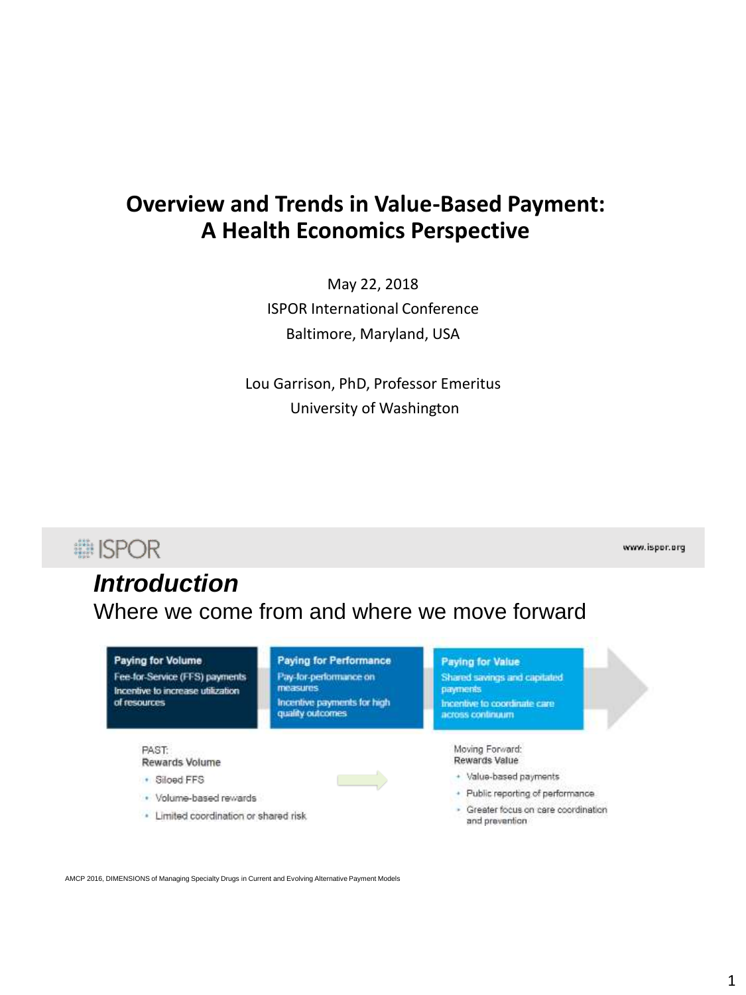# **Overview and Trends in Value-Based Payment: A Health Economics Perspective**

May 22, 2018 ISPOR International Conference Baltimore, Maryland, USA

Lou Garrison, PhD, Professor Emeritus University of Washington



AMCP 2016, DIMENSIONS of Managing Specialty Drugs in Current and Evolving Alternative Payment Models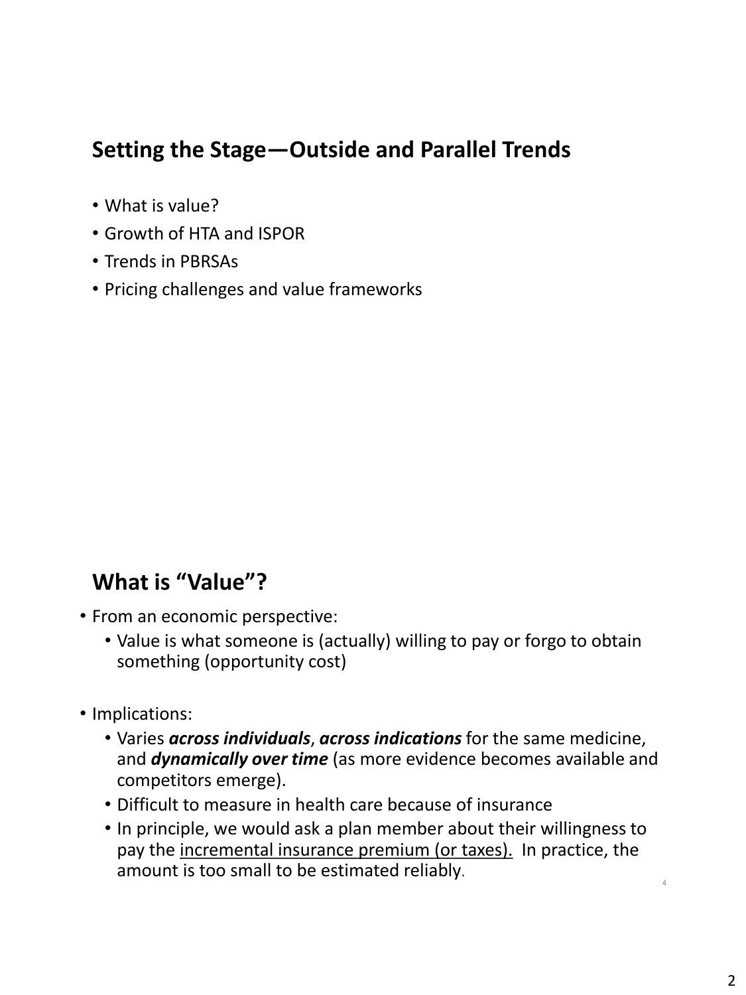# **Setting the Stage—Outside and Parallel Trends**

- What is value?
- Growth of HTA and ISPOR
- Trends in PBRSAs
- Pricing challenges and value frameworks

# **What is "Value"?**

- From an economic perspective:
	- Value is what someone is (actually) willing to pay or forgo to obtain something (opportunity cost)
- Implications:
	- Varies *across individuals*, *across indications* for the same medicine, and *dynamically over time* (as more evidence becomes available and competitors emerge).
	- Difficult to measure in health care because of insurance
	- In principle, we would ask a plan member about their willingness to pay the incremental insurance premium (or taxes). In practice, the amount is too small to be estimated reliably.

4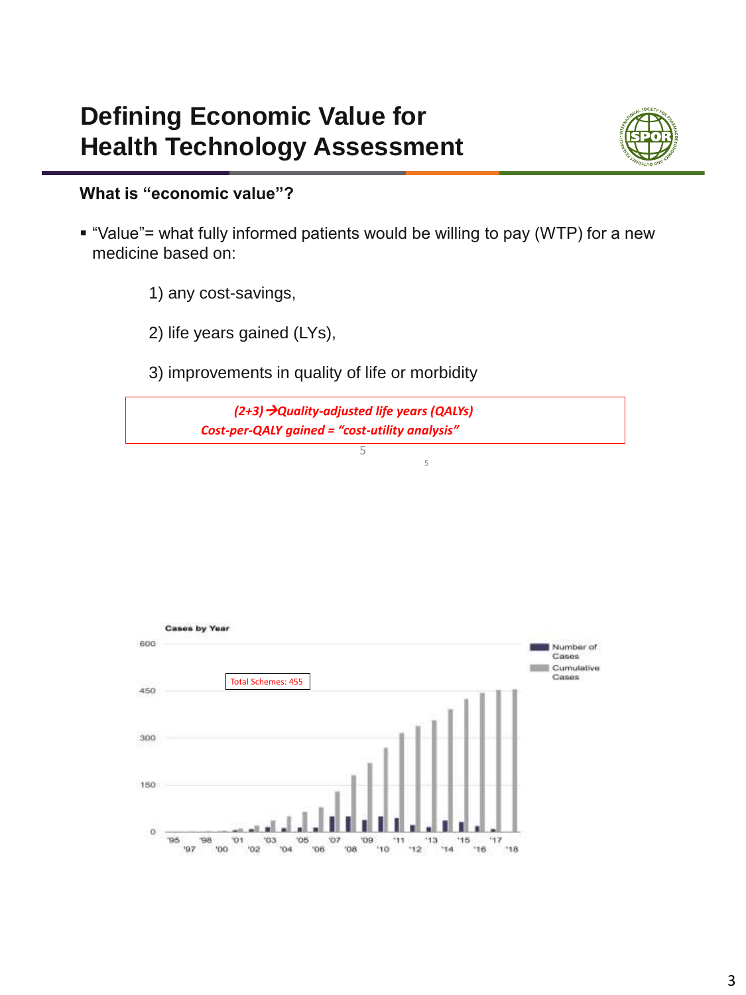# **Defining Economic Value for Health Technology Assessment**



### **What is "economic value"?**

- "Value"= what fully informed patients would be willing to pay (WTP) for a new medicine based on:
	- 1) any cost-savings,
	- 2) life years gained (LYs),
	- 3) improvements in quality of life or morbidity

*(2+3)Quality-adjusted life years (QALYs) Cost-per-QALY gained = "cost-utility analysis"*

5

5

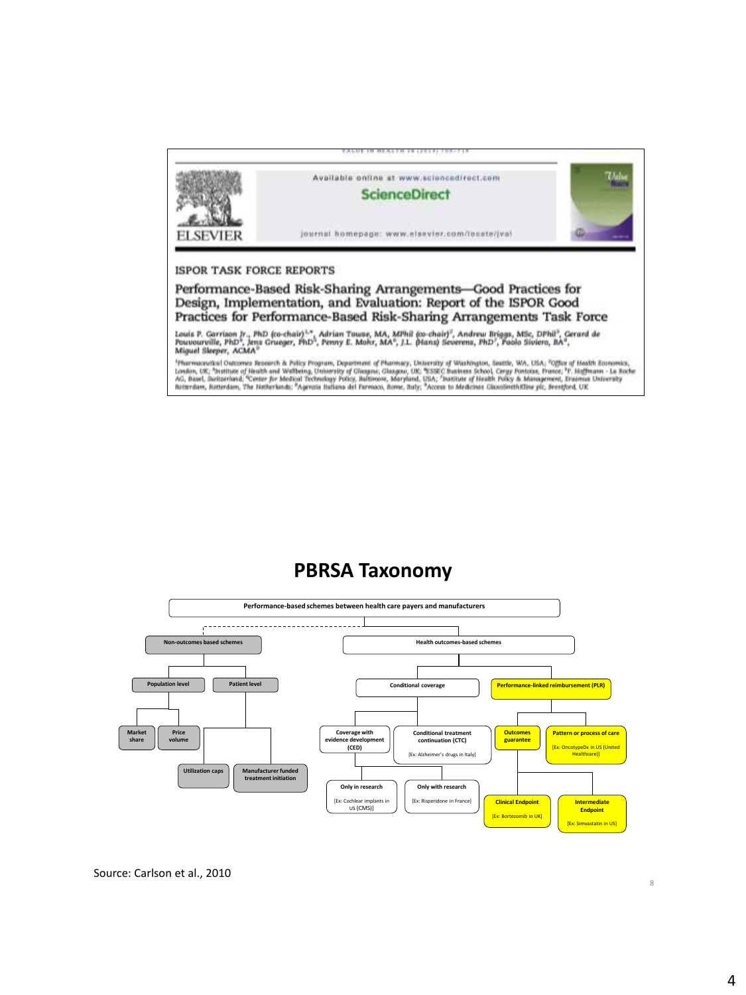

## **PBRSA Taxonomy**



8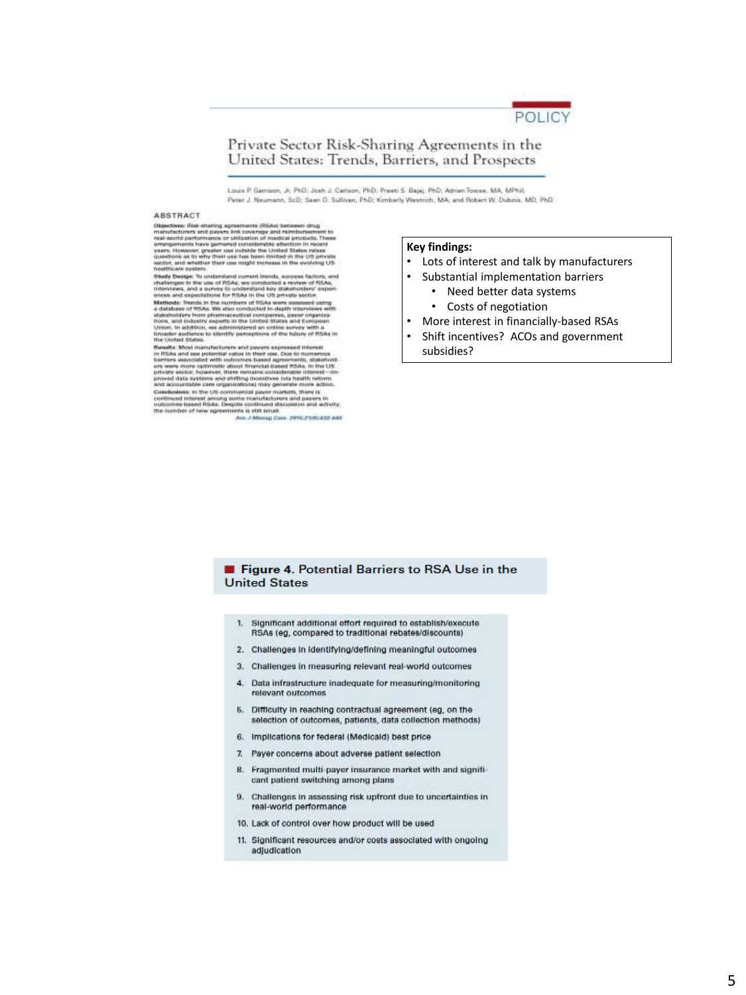

### Private Sector Risk-Sharing Agreements in the United States: Trends, Barriers, and Prospects

Louis P. Gemisson, Jr, PhD; Josh J. Carlson, PhD; Preeti S. Bajaj, PhD; Adrian Towae, MA, MPhil; Peter J. Neumann, ScD; Sean D. Sulfivan, PhD; Kimberly Westnich, MA; and Robert W. Dubois, MD, PhD

#### **ABSTRACT**

Objectives: Risk-strating agenements (SSAs) between drug<br>marriarchivers and payers and payers are deliverative to maximize the<br>maximization of payers are utilization of modical products. These<br>maximization for our generat

Study Devige: To understand current inseds, success factors, and<br>challenges in the use of RSAs, we conducted a movem of RSAs,<br>milensess, and a survey to understand soy statementers' experience<br>ances and expectations for RS ances are superly<br>those for FRIA-in the US private section, when the state of MSA were<br>assumed uning a distinguished in the state system of RSA were assumed uning<br>a distinguished of RSAs. We also concluded in -display wit

The United States is committed and parameter and maximum of the United States.<br>The United States and the control of the United States in the United States in the United States of the United States in the United States in

### **Key findings:**

- Lots of interest and talk by manufacturers
- Substantial implementation barriers
	- Need better data systems
	- Costs of negotiation
- More interest in financially-based RSAs
- Shift incentives? ACOs and government subsidies?

### Figure 4. Potential Barriers to RSA Use in the **United States**

- Significant additional effort required to establish/execute 1. RSAs (eg, compared to traditional rebates/discounts)
- 2. Challenges in identifying/defining meaningful outcomes
- 3. Challenges in measuring relevant real-world outcomes
- 4. Data infrastructure inadequate for measuring/monitoring relevant outcomes
- 5. Difficulty in reaching contractual agreement (eg, on the selection of outcomes, patients, data collection methods)
- 6. Implications for federal (Medicald) best price
- 7. Payer concerns about adverse patient selection
- 8. Fragmented multi-payer insurance market with and significant patient switching among plans
- 9. Challenges in assessing risk upfront due to uncertainties in real-world performance
- 10. Lack of control over how product will be used
- 11. Significant resources and/or costs associated with ongoing adjudication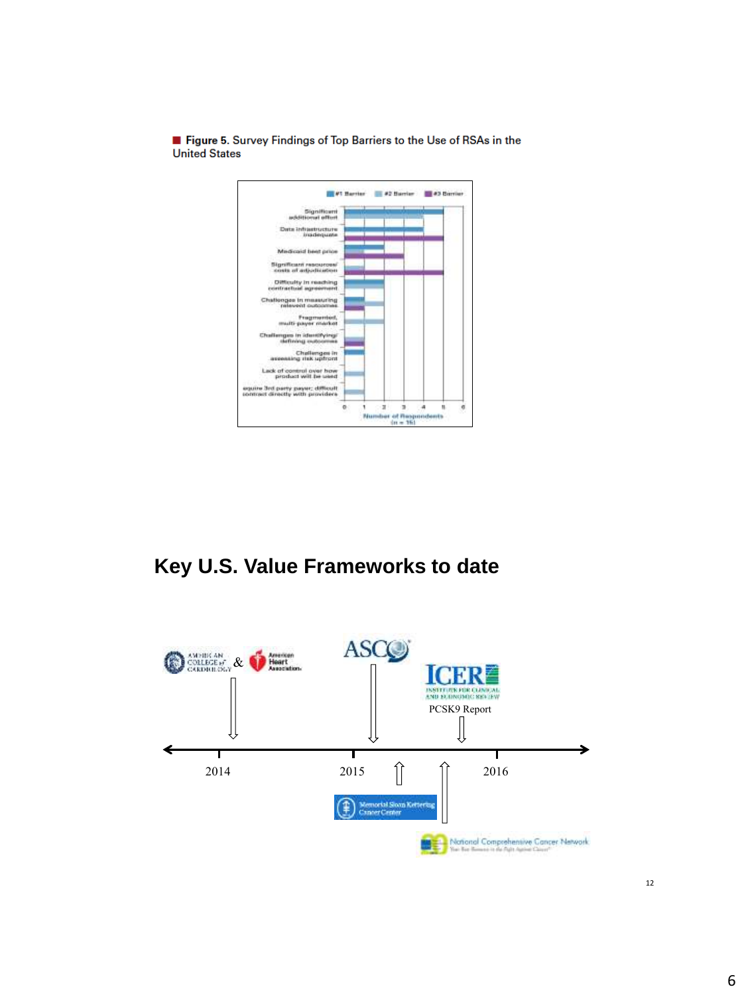

Figure 5. Survey Findings of Top Barriers to the Use of RSAs in the **United States** 

# **Key U.S. Value Frameworks to date**

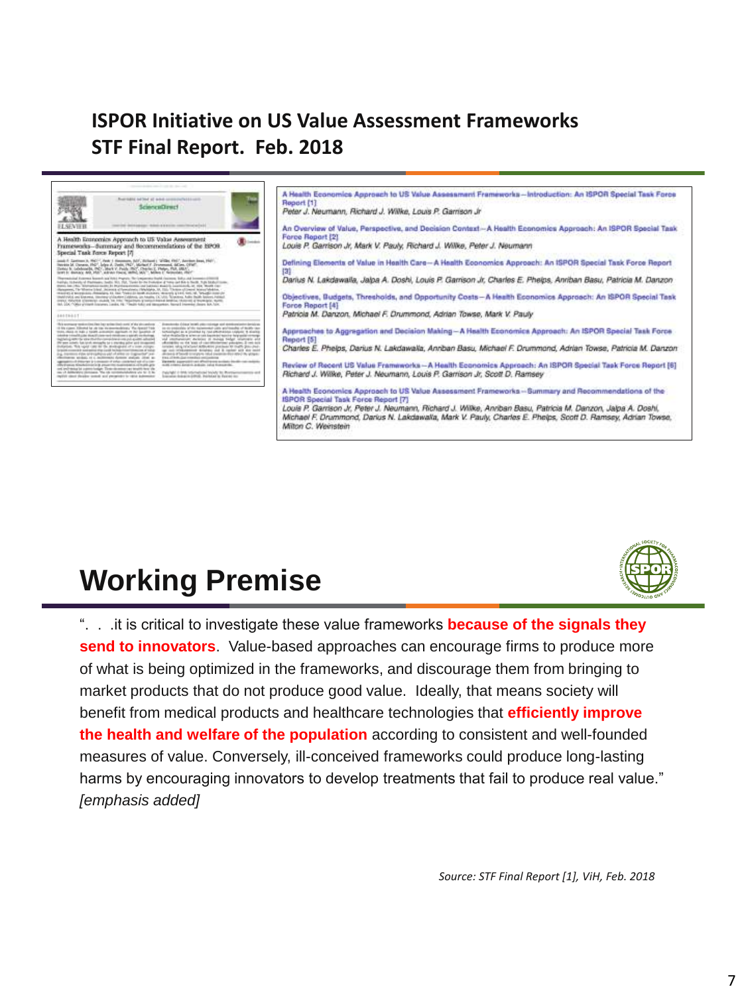# **ISPOR Initiative on US Value Assessment Frameworks STF Final Report. Feb. 2018**



# **Working Premise**



*Source: STF Final Report [1], ViH, Feb. 2018*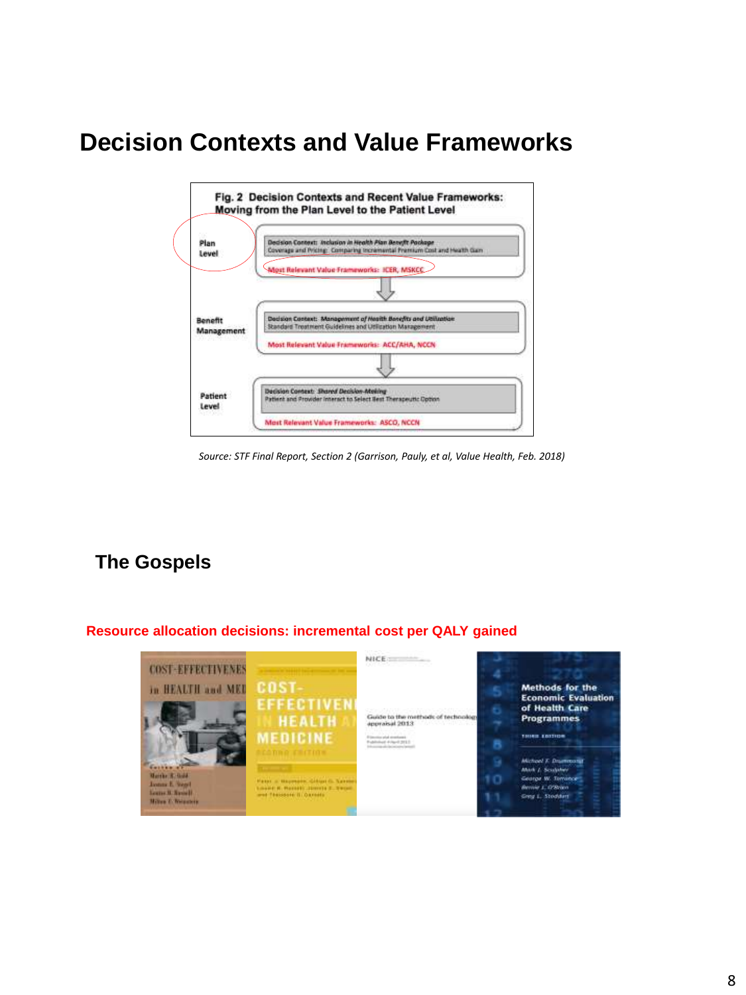# **Decision Contexts and Value Frameworks**



*Source: STF Final Report, Section 2 (Garrison, Pauly, et al, Value Health, Feb. 2018)*

## **The Gospels**

### **Resource allocation decisions: incremental cost per QALY gained**

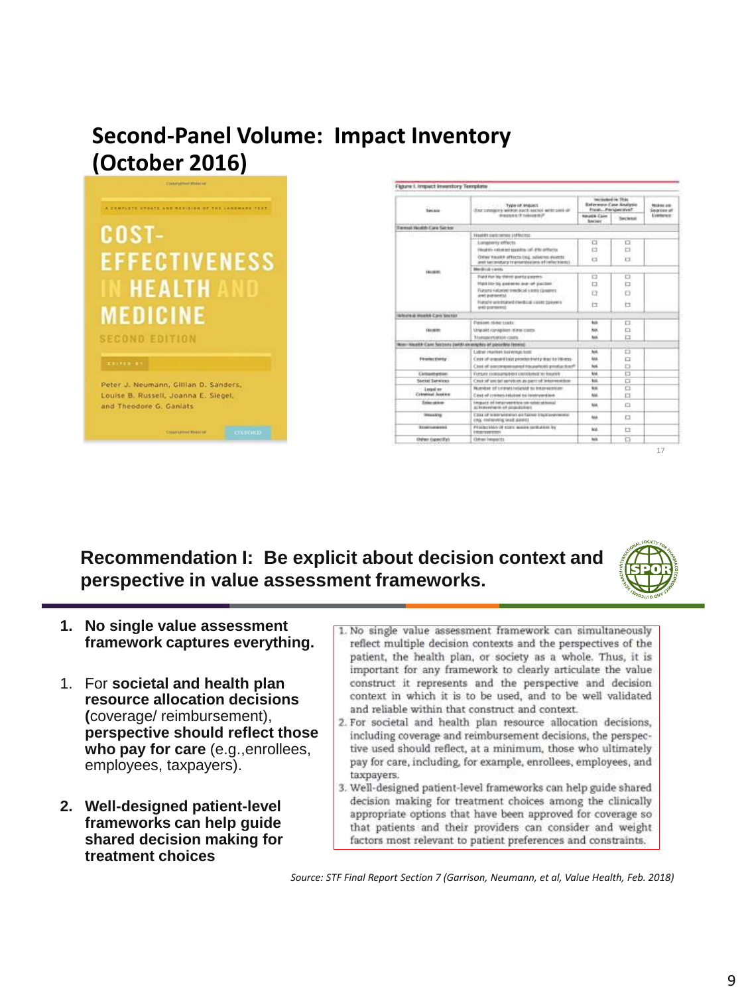# **Second-Panel Volume: Impact Inventory (October 2016)**



| <b>The Association</b><br><b>Security</b> | FOR THE R. P. LEWIS CO., LANSING MICH.<br>OUR LINNARY WRITIN AUCT ANOW WRITING OF<br>PERMITTENED | Increased in This<br><b>Beference Case Analysis</b><br>Poste, Personnialve? |           | <b>Nickled All</b><br>Seaton at |
|-------------------------------------------|--------------------------------------------------------------------------------------------------|-----------------------------------------------------------------------------|-----------|---------------------------------|
|                                           |                                                                                                  | <b>Filterit&amp; Cane</b><br><b>Security</b>                                | Sectional | Evenience:                      |
| <b>Dennet Health Care Server</b>          |                                                                                                  |                                                                             |           |                                 |
| 144,0600<br><b>ISSUED</b>                 | Health cell pole and in Helman                                                                   |                                                                             |           |                                 |
|                                           | LUXURATY ITECTS                                                                                  | □                                                                           | □         |                                 |
|                                           | Hinghtty asket led igaining july 250 APRATOL                                                     | a                                                                           | ▭         |                                 |
|                                           | Other health afterns log, salating events:<br>and terrorstary transmissions of collections;      | $\Box$                                                                      | $\Box$    |                                 |
|                                           | <b>Blocking casts</b>                                                                            |                                                                             |           |                                 |
|                                           | Field For try-thirds partly payms.                                                               | □                                                                           | ▭         |                                 |
|                                           | TOO ED-DS passed in a of packet.                                                                 | □                                                                           | □         |                                 |
|                                           | Flatoni Hilarini tredical climini (paper):<br>Artificial Sela                                    | Ö                                                                           |           |                                 |
|                                           | Fuldable anticipated dwells all variety ballyment.<br>and partners of                            | Ħ                                                                           | Ħ         |                                 |
| INSURAL HANNA Cavic Soutier               |                                                                                                  |                                                                             |           |                                 |
| 144,0001                                  | Fundami, rámor texter.                                                                           | ш                                                                           | □         |                                 |
|                                           | Unalpiet canagilism itimes comp-                                                                 | ш                                                                           | □         |                                 |
|                                           | <b><i>Itamagertakids casts</i></b>                                                               | had.                                                                        | b         |                                 |
|                                           | Non-Kisakk Care Sucress (with an angeles at passible rank).                                      |                                                                             |           |                                 |
| <b>Financial Electric</b>                 | Ludrez Huarkers last entage book                                                                 | hot.                                                                        | ▭         |                                 |
|                                           | Costs of armount local peacher brothy than to lilliness.                                         | <b>And</b>                                                                  | a         |                                 |
|                                           | Clear of poscor-assessed Hausehold productive?                                                   | hos.                                                                        | $\Box$    |                                 |
| <b>Carbushption</b>                       | Further commercials unitakened to bounty                                                         | <b>bid</b>                                                                  | O         |                                 |
| Social Services                           | Creat of social services as part of intermedies:                                                 | bob.                                                                        | $\Box$    |                                 |
| 2 sepai en<br>Criminal Access             | Number of crimes related to interestion.                                                         | <b>Now.</b>                                                                 | o         |                                 |
|                                           | Clost of colones intuited to innovanities.                                                       | Aid.                                                                        | $\Box$    |                                 |
| <b>Triangless</b>                         | impact of information on solar situate<br>at knowledge in populations.                           | NA                                                                          | ▭         |                                 |
| <b>INSURANCE</b>                          | Case of breakfairship aid factor trackwyringers.<br>cities, instrumenting terails at animals     | to a                                                                        | o         |                                 |
| <b>Ecological Avenue</b>                  | PERMITTION OF EDITE WANTS GERARDED BY<br><b>Entrepreneurs</b>                                    | kat.                                                                        | t         |                                 |
| Online: Capacifich                        | Christi Interacts                                                                                | hok.                                                                        | ▭         |                                 |

**Recommendation I: Be explicit about decision context and perspective in value assessment frameworks.**



- **1. No single value assessment framework captures everything.**
- 1. For **societal and health plan resource allocation decisions (**coverage/ reimbursement), **perspective should reflect those who pay for care** (e.g.,enrollees, employees, taxpayers).
- **2. Well-designed patient-level frameworks can help guide shared decision making for treatment choices**
- 1. No single value assessment framework can simultaneously reflect multiple decision contexts and the perspectives of the patient, the health plan, or society as a whole. Thus, it is important for any framework to clearly articulate the value construct it represents and the perspective and decision context in which it is to be used, and to be well validated and reliable within that construct and context.
- 2. For societal and health plan resource allocation decisions, including coverage and reimbursement decisions, the perspective used should reflect, at a minimum, those who ultimately pay for care, including, for example, enrollees, employees, and taxpayers.
- 3. Well-designed patient-level frameworks can help guide shared decision making for treatment choices among the clinically appropriate options that have been approved for coverage so that patients and their providers can consider and weight factors most relevant to patient preferences and constraints.

*Source: STF Final Report Section 7 (Garrison, Neumann, et al, Value Health, Feb. 2018)*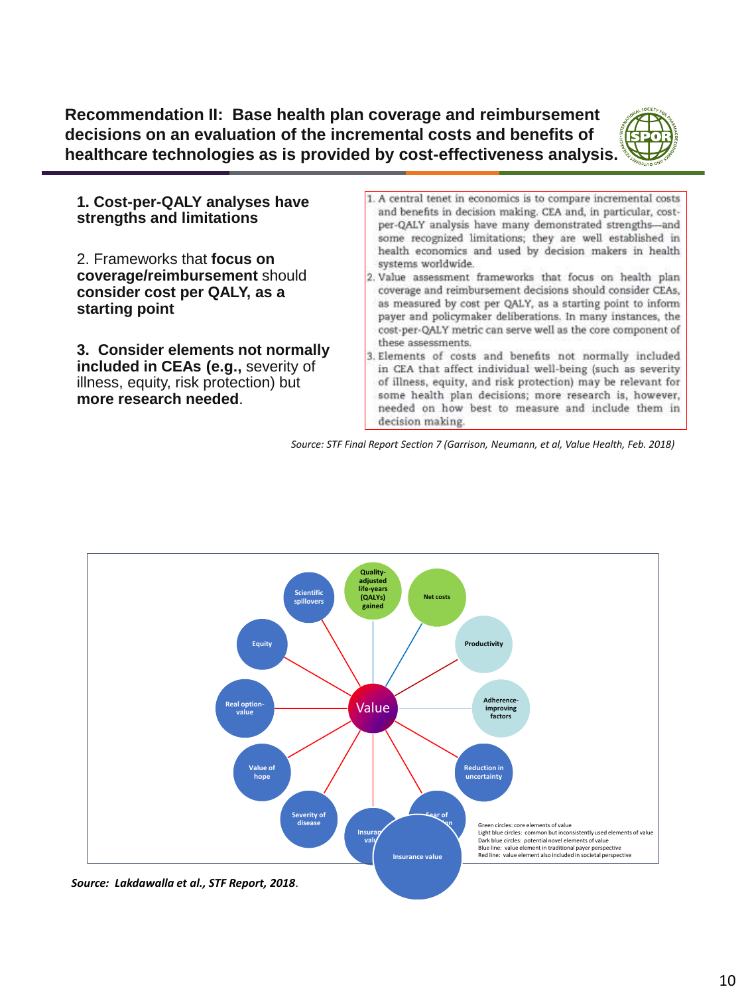**Recommendation II: Base health plan coverage and reimbursement decisions on an evaluation of the incremental costs and benefits of healthcare technologies as is provided by cost-effectiveness analysis.**



**1. Cost-per-QALY analyses have strengths and limitations**

2. Frameworks that **focus on coverage/reimbursement** should **consider cost per QALY, as a starting point**

**3. Consider elements not normally included in CEAs (e.g.,** severity of illness, equity, risk protection) but **more research needed**.

- 1. A central tenet in economics is to compare incremental costs and benefits in decision making. CEA and, in particular, costper-QALY analysis have many demonstrated strengths-and some recognized limitations; they are well established in health economics and used by decision makers in health systems worldwide.
- 2. Value assessment frameworks that focus on health plan coverage and reimbursement decisions should consider CEAs, as measured by cost per QALY, as a starting point to inform payer and policymaker deliberations. In many instances, the cost-per-QALY metric can serve well as the core component of these assessments.
- 3. Elements of costs and benefits not normally included in CEA that affect individual well-being (such as severity of illness, equity, and risk protection) may be relevant for some health plan decisions; more research is, however, needed on how best to measure and include them in decision making.

*Source: STF Final Report Section 7 (Garrison, Neumann, et al, Value Health, Feb. 2018)*